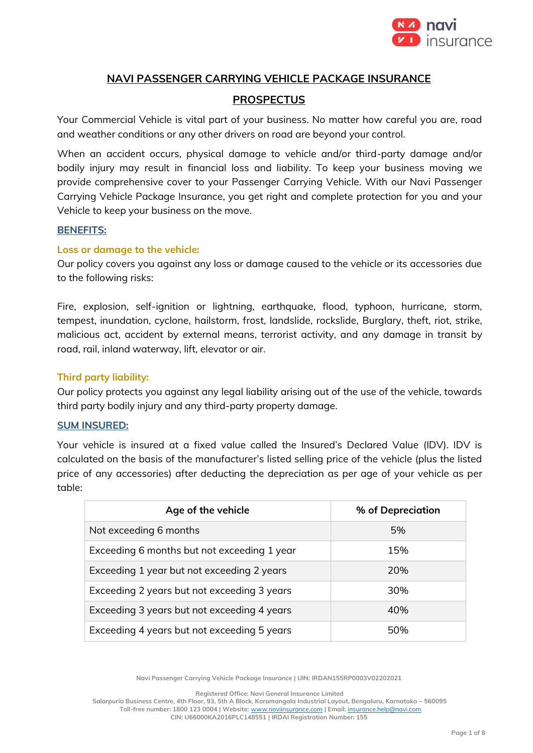

## **NAVI PASSENGER CARRYING VEHICLE PACKAGE INSURANCE**

## **PROSPECTUS**

Your Commercial Vehicle is vital part of your business. No matter how careful you are, road and weather conditions or any other drivers on road are beyond your control.

When an accident occurs, physical damage to vehicle and/or third-party damage and/or bodily injury may result in financial loss and liability. To keep your business moving we provide comprehensive cover to your Passenger Carrying Vehicle. With our Navi Passenger Carrying Vehicle Package Insurance, you get right and complete protection for you and your Vehicle to keep your business on the move.

#### **BENEFITS:**

#### **Loss or damage to the vehicle:**

Our policy covers you against any loss or damage caused to the vehicle or its accessories due to the following risks:

Fire, explosion, self-ignition or lightning, earthquake, flood, typhoon, hurricane, storm, tempest, inundation, cyclone, hailstorm, frost, landslide, rockslide, Burglary, theft, riot, strike, malicious act, accident by external means, terrorist activity, and any damage in transit by road, rail, inland waterway, lift, elevator or air.

#### **Third party liability:**

Our policy protects you against any legal liability arising out of the use of the vehicle, towards third party bodily injury and any third-party property damage.

#### **SUM INSURED:**

Your vehicle is insured at a fixed value called the Insured's Declared Value (IDV). IDV is calculated on the basis of the manufacturer's listed selling price of the vehicle (plus the listed price of any accessories) after deducting the depreciation as per age of your vehicle as per table:

| Age of the vehicle                          | % of Depreciation |
|---------------------------------------------|-------------------|
| Not exceeding 6 months                      | 5%                |
| Exceeding 6 months but not exceeding 1 year | 15%               |
| Exceeding 1 year but not exceeding 2 years  | 20%               |
| Exceeding 2 years but not exceeding 3 years | 30%               |
| Exceeding 3 years but not exceeding 4 years | 40%               |
| Exceeding 4 years but not exceeding 5 years | 50%               |

**Navi Passenger Carrying Vehicle Package Insurance | UIN: IRDAN155RP0003V02202021**

**Registered Office: Navi General Insurance Limited**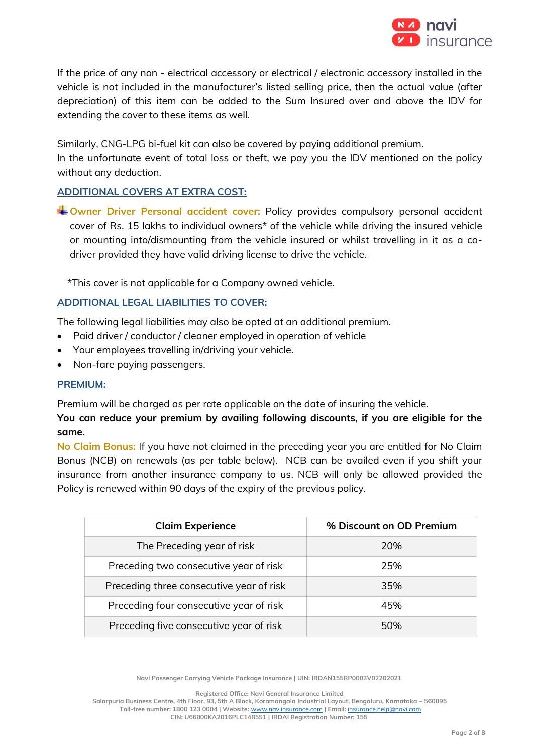

If the price of any non - electrical accessory or electrical / electronic accessory installed in the vehicle is not included in the manufacturer's listed selling price, then the actual value (after depreciation) of this item can be added to the Sum Insured over and above the IDV for extending the cover to these items as well.

Similarly, CNG-LPG bi-fuel kit can also be covered by paying additional premium. In the unfortunate event of total loss or theft, we pay you the IDV mentioned on the policy without any deduction.

# **ADDITIONAL COVERS AT EXTRA COST:**

**Owner Driver Personal accident cover:** Policy provides compulsory personal accident cover of Rs. 15 lakhs to individual owners\* of the vehicle while driving the insured vehicle or mounting into/dismounting from the vehicle insured or whilst travelling in it as a codriver provided they have valid driving license to drive the vehicle.

\*This cover is not applicable for a Company owned vehicle.

## **ADDITIONAL LEGAL LIABILITIES TO COVER:**

The following legal liabilities may also be opted at an additional premium.

- Paid driver / conductor / cleaner employed in operation of vehicle
- Your employees travelling in/driving your vehicle.
- Non-fare paying passengers.

### **PREMIUM:**

Premium will be charged as per rate applicable on the date of insuring the vehicle.

# **You can reduce your premium by availing following discounts, if you are eligible for the same.**

**No Claim Bonus:** If you have not claimed in the preceding year you are entitled for No Claim Bonus (NCB) on renewals (as per table below). NCB can be availed even if you shift your insurance from another insurance company to us. NCB will only be allowed provided the Policy is renewed within 90 days of the expiry of the previous policy.

| <b>Claim Experience</b>                  | % Discount on OD Premium |
|------------------------------------------|--------------------------|
| The Preceding year of risk               | 20%                      |
| Preceding two consecutive year of risk   | 25%                      |
| Preceding three consecutive year of risk | 35%                      |
| Preceding four consecutive year of risk  | 45%                      |
| Preceding five consecutive year of risk  | 50%                      |

**Navi Passenger Carrying Vehicle Package Insurance | UIN: IRDAN155RP0003V02202021**

**Registered Office: Navi General Insurance Limited**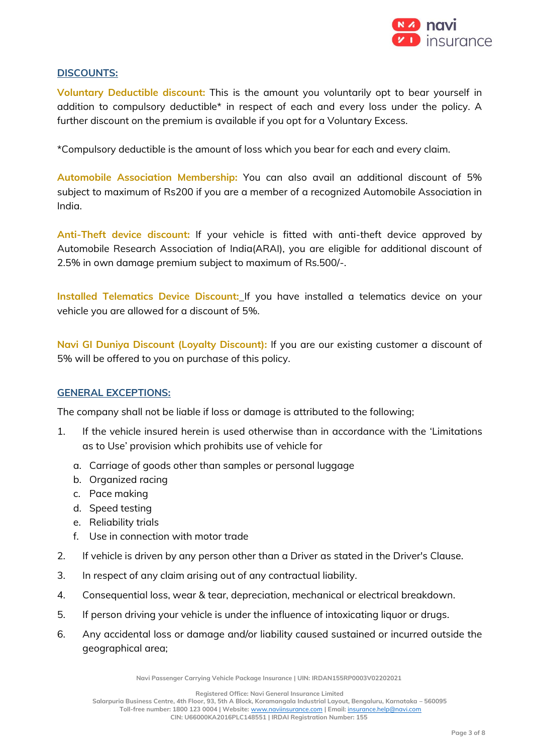

# **DISCOUNTS:**

**Voluntary Deductible discount:** This is the amount you voluntarily opt to bear yourself in addition to compulsory deductible\* in respect of each and every loss under the policy. A further discount on the premium is available if you opt for a Voluntary Excess.

\*Compulsory deductible is the amount of loss which you bear for each and every claim.

**Automobile Association Membership:** You can also avail an additional discount of 5% subject to maximum of Rs200 if you are a member of a recognized Automobile Association in India.

**Anti-Theft device discount:** If your vehicle is fitted with anti-theft device approved by Automobile Research Association of India(ARAI), you are eligible for additional discount of 2.5% in own damage premium subject to maximum of Rs.500/-.

**Installed Telematics Device Discount:** If you have installed a telematics device on your vehicle you are allowed for a discount of 5%.

**Navi GI Duniya Discount (Loyalty Discount):** If you are our existing customer a discount of 5% will be offered to you on purchase of this policy.

### **GENERAL EXCEPTIONS:**

The company shall not be liable if loss or damage is attributed to the following;

- 1. If the vehicle insured herein is used otherwise than in accordance with the 'Limitations as to Use' provision which prohibits use of vehicle for
	- a. Carriage of goods other than samples or personal luggage
	- b. Organized racing
	- c. Pace making
	- d. Speed testing
	- e. Reliability trials
	- f. Use in connection with motor trade
- 2. If vehicle is driven by any person other than a Driver as stated in the Driver's Clause.
- 3. In respect of any claim arising out of any contractual liability.
- 4. Consequential loss, wear & tear, depreciation, mechanical or electrical breakdown.
- 5. If person driving your vehicle is under the influence of intoxicating liquor or drugs.
- 6. Any accidental loss or damage and/or liability caused sustained or incurred outside the geographical area;

**Navi Passenger Carrying Vehicle Package Insurance | UIN: IRDAN155RP0003V02202021**

**Registered Office: Navi General Insurance Limited**

**Salarpuria Business Centre, 4th Floor, 93, 5th A Block, Koramangala Industrial Layout, Bengaluru, Karnataka – 560095 Toll-free number: 1800 123 0004 | Website:** [www.naviinsurance.com](http://www.naviinsurance.com/) **| Email:** [insurance.help@navi.com](mailto:insurance.help@navi.com)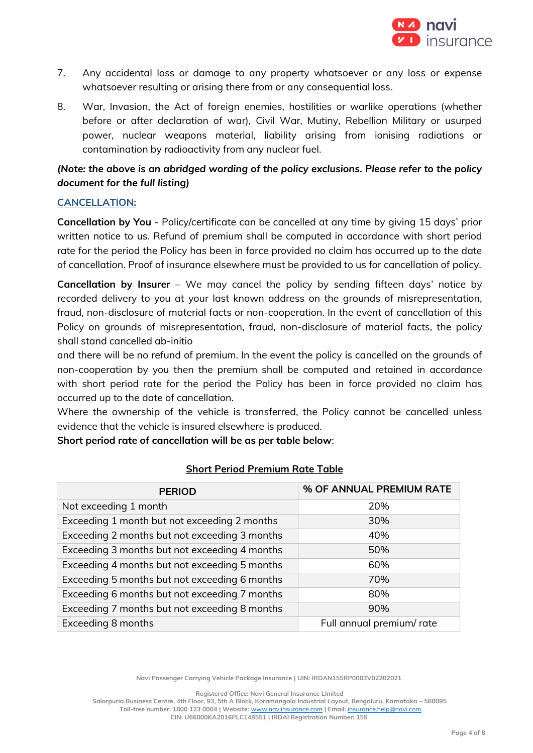

- 7. Any accidental loss or damage to any property whatsoever or any loss or expense whatsoever resulting or arising there from or any consequential loss.
- 8. War, Invasion, the Act of foreign enemies, hostilities or warlike operations (whether before or after declaration of war), Civil War, Mutiny, Rebellion Military or usurped power, nuclear weapons material, liability arising from ionising radiations or contamination by radioactivity from any nuclear fuel.

# *(Note: the above is an abridged wording of the policy exclusions. Please refer to the policy document for the full listing)*

## **CANCELLATION:**

**Cancellation by You** - Policy/certificate can be cancelled at any time by giving 15 days' prior written notice to us. Refund of premium shall be computed in accordance with short period rate for the period the Policy has been in force provided no claim has occurred up to the date of cancellation. Proof of insurance elsewhere must be provided to us for cancellation of policy.

**Cancellation by Insurer** – We may cancel the policy by sending fifteen days' notice by recorded delivery to you at your last known address on the grounds of misrepresentation, fraud, non-disclosure of material facts or non-cooperation. In the event of cancellation of this Policy on grounds of misrepresentation, fraud, non-disclosure of material facts, the policy shall stand cancelled ab-initio

and there will be no refund of premium. In the event the policy is cancelled on the grounds of non-cooperation by you then the premium shall be computed and retained in accordance with short period rate for the period the Policy has been in force provided no claim has occurred up to the date of cancellation.

Where the ownership of the vehicle is transferred, the Policy cannot be cancelled unless evidence that the vehicle is insured elsewhere is produced.

**Short period rate of cancellation will be as per table below**:

| <b>PERIOD</b>                                 | % OF ANNUAL PREMIUM RATE  |
|-----------------------------------------------|---------------------------|
| Not exceeding 1 month                         | 20%                       |
| Exceeding 1 month but not exceeding 2 months  | 30%                       |
| Exceeding 2 months but not exceeding 3 months | 40%                       |
| Exceeding 3 months but not exceeding 4 months | 50%                       |
| Exceeding 4 months but not exceeding 5 months | 60%                       |
| Exceeding 5 months but not exceeding 6 months | 70%                       |
| Exceeding 6 months but not exceeding 7 months | 80%                       |
| Exceeding 7 months but not exceeding 8 months | 90%                       |
| Exceeding 8 months                            | Full annual premium/ rate |

# **Short Period Premium Rate Table**

**Navi Passenger Carrying Vehicle Package Insurance | UIN: IRDAN155RP0003V02202021**

**Registered Office: Navi General Insurance Limited**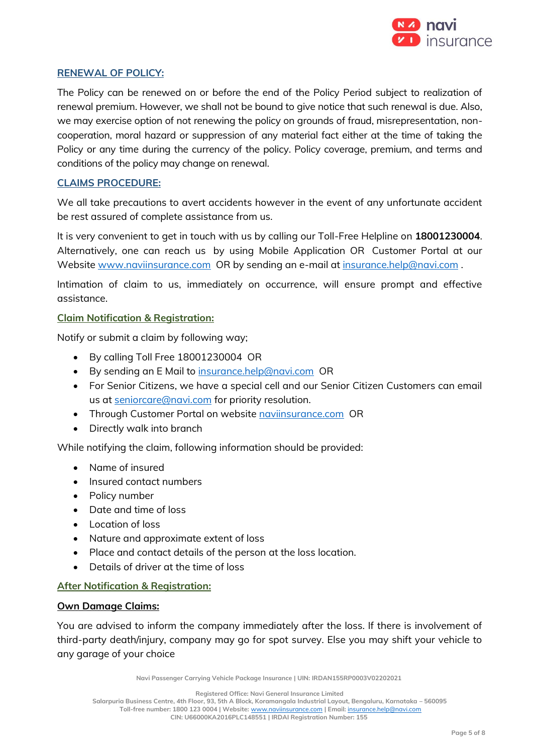

## **RENEWAL OF POLICY:**

The Policy can be renewed on or before the end of the Policy Period subject to realization of renewal premium. However, we shall not be bound to give notice that such renewal is due. Also, we may exercise option of not renewing the policy on grounds of fraud, misrepresentation, noncooperation, moral hazard or suppression of any material fact either at the time of taking the Policy or any time during the currency of the policy. Policy coverage, premium, and terms and conditions of the policy may change on renewal.

## **CLAIMS PROCEDURE:**

We all take precautions to avert accidents however in the event of any unfortunate accident be rest assured of complete assistance from us.

It is very convenient to get in touch with us by calling our Toll-Free Helpline on **18001230004**. Alternatively, one can reach us by using Mobile Application OR Customer Portal at our Website [www.naviinsurance.com](http://www.naviinsurance.com/) OR by sending an e-mail a[t insurance.help@navi.com](mailto:insurance.help@navi.com).

Intimation of claim to us, immediately on occurrence, will ensure prompt and effective assistance.

### **Claim Notification & Registration:**

Notify or submit a claim by following way;

- By calling Toll Free 18001230004 OR
- By sending an E Mail to [insurance.help@navi.com](mailto:insurance.help@navi.com) OR
- For Senior Citizens, we have a special cell and our Senior Citizen Customers can email us at seniorcare@navi.com for priority resolution.
- Through Customer Portal on website navilnsurance.com OR
- Directly walk into branch

While notifying the claim, following information should be provided:

- Name of insured
- Insured contact numbers
- Policy number
- Date and time of loss
- Location of loss
- Nature and approximate extent of loss
- Place and contact details of the person at the loss location.
- Details of driver at the time of loss

### **After Notification & Registration:**

#### **Own Damage Claims:**

You are advised to inform the company immediately after the loss. If there is involvement of third-party death/injury, company may go for spot survey. Else you may shift your vehicle to any garage of your choice

**Navi Passenger Carrying Vehicle Package Insurance | UIN: IRDAN155RP0003V02202021**

**Registered Office: Navi General Insurance Limited**

**Salarpuria Business Centre, 4th Floor, 93, 5th A Block, Koramangala Industrial Layout, Bengaluru, Karnataka – 560095 Toll-free number: 1800 123 0004 | Website:** [www.naviinsurance.com](http://www.naviinsurance.com/) **| Email:** [insurance.help@navi.com](mailto:insurance.help@navi.com)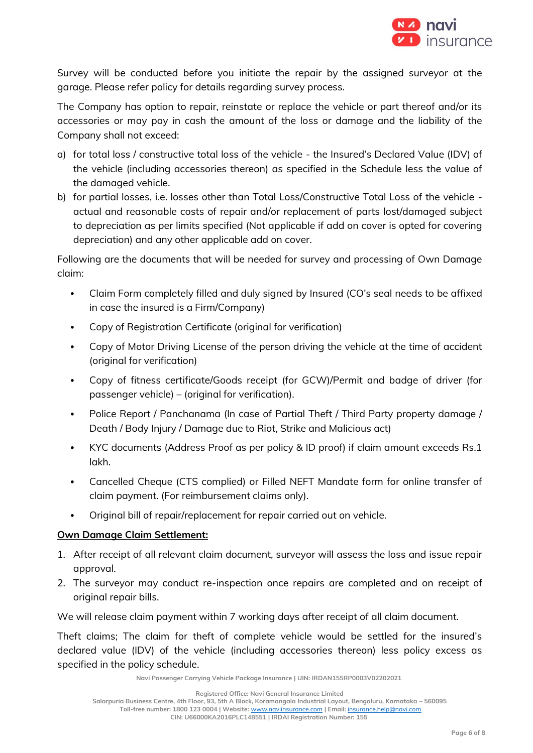

Survey will be conducted before you initiate the repair by the assigned surveyor at the garage. Please refer policy for details regarding survey process.

The Company has option to repair, reinstate or replace the vehicle or part thereof and/or its accessories or may pay in cash the amount of the loss or damage and the liability of the Company shall not exceed:

- a) for total loss / constructive total loss of the vehicle the Insured's Declared Value (IDV) of the vehicle (including accessories thereon) as specified in the Schedule less the value of the damaged vehicle.
- b) for partial losses, i.e. losses other than Total Loss/Constructive Total Loss of the vehicle actual and reasonable costs of repair and/or replacement of parts lost/damaged subject to depreciation as per limits specified (Not applicable if add on cover is opted for covering depreciation) and any other applicable add on cover.

Following are the documents that will be needed for survey and processing of Own Damage claim:

- Claim Form completely filled and duly signed by Insured (CO's seal needs to be affixed in case the insured is a Firm/Company)
- Copy of Registration Certificate (original for verification)
- Copy of Motor Driving License of the person driving the vehicle at the time of accident (original for verification)
- Copy of fitness certificate/Goods receipt (for GCW)/Permit and badge of driver (for passenger vehicle) – (original for verification).
- Police Report / Panchanama (In case of Partial Theft / Third Party property damage / Death / Body Injury / Damage due to Riot, Strike and Malicious act)
- KYC documents (Address Proof as per policy & ID proof) if claim amount exceeds Rs.1 lakh.
- Cancelled Cheque (CTS complied) or Filled NEFT Mandate form for online transfer of claim payment. (For reimbursement claims only).
- Original bill of repair/replacement for repair carried out on vehicle.

# **Own Damage Claim Settlement:**

- 1. After receipt of all relevant claim document, surveyor will assess the loss and issue repair approval.
- 2. The surveyor may conduct re-inspection once repairs are completed and on receipt of original repair bills.

We will release claim payment within 7 working days after receipt of all claim document.

Theft claims; The claim for theft of complete vehicle would be settled for the insured's declared value (IDV) of the vehicle (including accessories thereon) less policy excess as specified in the policy schedule.

**Navi Passenger Carrying Vehicle Package Insurance | UIN: IRDAN155RP0003V02202021**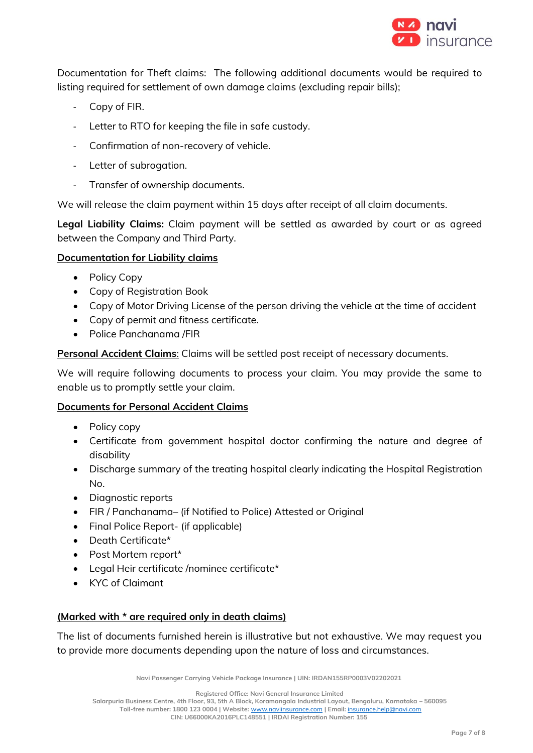

Documentation for Theft claims: The following additional documents would be required to listing required for settlement of own damage claims (excluding repair bills);

- Copy of FIR.
- Letter to RTO for keeping the file in safe custody.
- Confirmation of non-recovery of vehicle.
- Letter of subrogation.
- Transfer of ownership documents.

We will release the claim payment within 15 days after receipt of all claim documents.

**Legal Liability Claims:** Claim payment will be settled as awarded by court or as agreed between the Company and Third Party.

## **Documentation for Liability claims**

- Policy Copy
- Copy of Registration Book
- Copy of Motor Driving License of the person driving the vehicle at the time of accident
- Copy of permit and fitness certificate.
- Police Panchanama /FIR

**Personal Accident Claims**: Claims will be settled post receipt of necessary documents.

We will require following documents to process your claim. You may provide the same to enable us to promptly settle your claim.

# **Documents for Personal Accident Claims**

- Policy copy
- Certificate from government hospital doctor confirming the nature and degree of disability
- Discharge summary of the treating hospital clearly indicating the Hospital Registration No.
- Diagnostic reports
- FIR / Panchanama– (if Notified to Police) Attested or Original
- Final Police Report- (if applicable)
- Death Certificate\*
- Post Mortem report\*
- Legal Heir certificate /nominee certificate\*
- KYC of Claimant

# **(Marked with \* are required only in death claims)**

The list of documents furnished herein is illustrative but not exhaustive. We may request you to provide more documents depending upon the nature of loss and circumstances.

**Navi Passenger Carrying Vehicle Package Insurance | UIN: IRDAN155RP0003V02202021**

**Registered Office: Navi General Insurance Limited**

**Salarpuria Business Centre, 4th Floor, 93, 5th A Block, Koramangala Industrial Layout, Bengaluru, Karnataka – 560095 Toll-free number: 1800 123 0004 | Website:** [www.naviinsurance.com](http://www.naviinsurance.com/) **| Email:** [insurance.help@navi.com](mailto:insurance.help@navi.com)